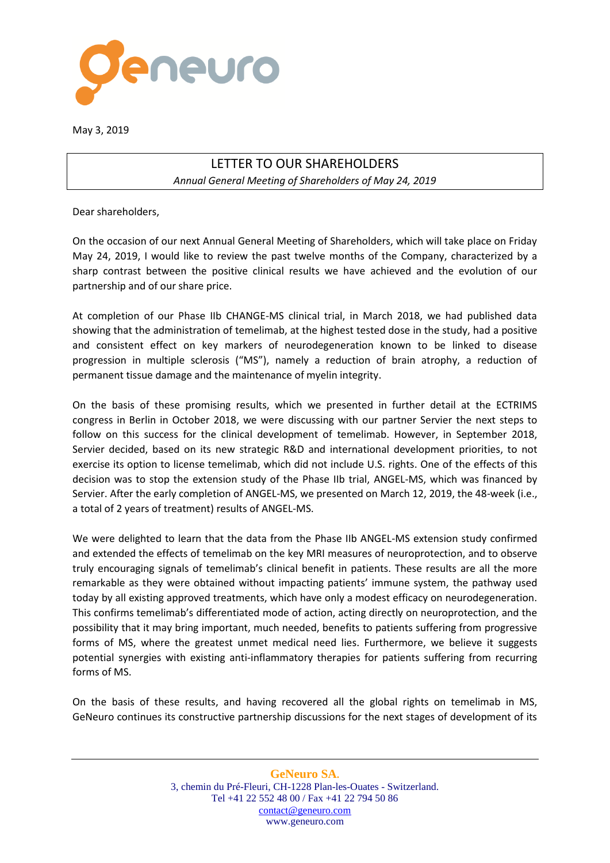

May 3, 2019

## LETTER TO OUR SHAREHOLDERS *Annual General Meeting of Shareholders of May 24, 2019*

Dear shareholders,

On the occasion of our next Annual General Meeting of Shareholders, which will take place on Friday May 24, 2019, I would like to review the past twelve months of the Company, characterized by a sharp contrast between the positive clinical results we have achieved and the evolution of our partnership and of our share price.

At completion of our Phase IIb CHANGE-MS clinical trial, in March 2018, we had published data showing that the administration of temelimab, at the highest tested dose in the study, had a positive and consistent effect on key markers of neurodegeneration known to be linked to disease progression in multiple sclerosis ("MS"), namely a reduction of brain atrophy, a reduction of permanent tissue damage and the maintenance of myelin integrity.

On the basis of these promising results, which we presented in further detail at the ECTRIMS congress in Berlin in October 2018, we were discussing with our partner Servier the next steps to follow on this success for the clinical development of temelimab. However, in September 2018, Servier decided, based on its new strategic R&D and international development priorities, to not exercise its option to license temelimab, which did not include U.S. rights. One of the effects of this decision was to stop the extension study of the Phase IIb trial, ANGEL-MS, which was financed by Servier. After the early completion of ANGEL-MS, we presented on March 12, 2019, the 48-week (i.e., a total of 2 years of treatment) results of ANGEL-MS.

We were delighted to learn that the data from the Phase IIb ANGEL-MS extension study confirmed and extended the effects of temelimab on the key MRI measures of neuroprotection, and to observe truly encouraging signals of temelimab's clinical benefit in patients. These results are all the more remarkable as they were obtained without impacting patients' immune system, the pathway used today by all existing approved treatments, which have only a modest efficacy on neurodegeneration. This confirms temelimab's differentiated mode of action, acting directly on neuroprotection, and the possibility that it may bring important, much needed, benefits to patients suffering from progressive forms of MS, where the greatest unmet medical need lies. Furthermore, we believe it suggests potential synergies with existing anti-inflammatory therapies for patients suffering from recurring forms of MS.

On the basis of these results, and having recovered all the global rights on temelimab in MS, GeNeuro continues its constructive partnership discussions for the next stages of development of its